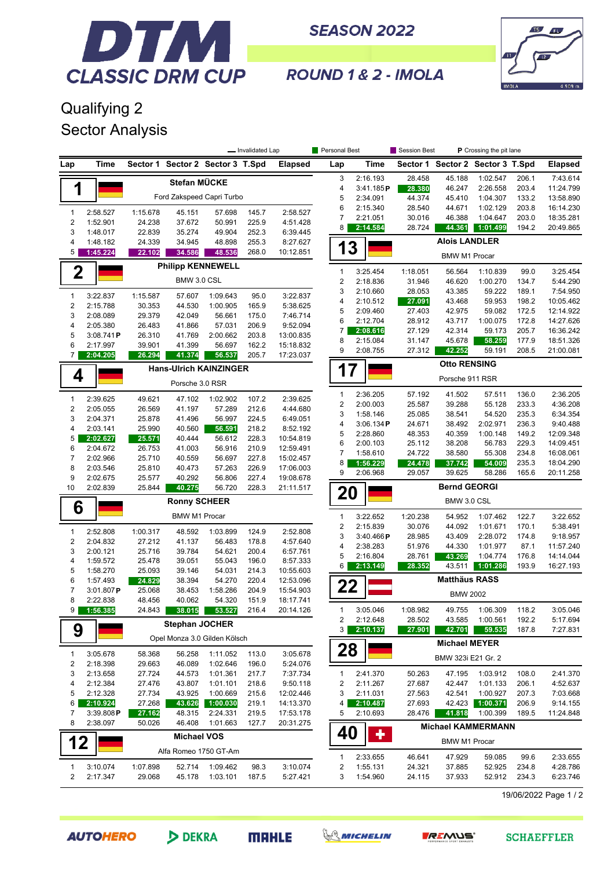

**SEASON 2022** 



ROUND 1 & 2 - IMOLA

## Qualifying 2 Sector Analysis

|                                                                    |                      | - Invalidated Lap |                       |                                  | Personal Best  |                        | Session Best<br>P Crossing the pit lane |                                 |                  |                      |                                  |                |                        |  |  |
|--------------------------------------------------------------------|----------------------|-------------------|-----------------------|----------------------------------|----------------|------------------------|-----------------------------------------|---------------------------------|------------------|----------------------|----------------------------------|----------------|------------------------|--|--|
| Lap                                                                | Time                 |                   |                       | Sector 1 Sector 2 Sector 3 T.Spd |                | Elapsed                | Lap                                     | Time                            |                  |                      | Sector 1 Sector 2 Sector 3 T.Spd |                | Elapsed                |  |  |
|                                                                    |                      |                   |                       |                                  |                |                        | 3                                       | 2:16.193                        | 28.458           | 45.188               | 1:02.547                         | 206.1          | 7:43.614               |  |  |
|                                                                    | Stefan MÜCKE<br>1    |                   |                       |                                  |                |                        | 4                                       | 3:41.185P                       | 28.380           | 46.247               | 2:26.558                         | 203.4          | 11:24.799              |  |  |
|                                                                    |                      |                   |                       | Ford Zakspeed Capri Turbo        |                |                        | 5                                       | 2:34.091                        | 44.374           | 45.410               | 1:04.307                         | 133.2          | 13:58.890              |  |  |
| $\mathbf{1}$                                                       | 2:58.527             | 1:15.678          | 45.151                | 57.698                           | 145.7          | 2:58.527               | 6                                       | 2:15.340                        | 28.540           | 44.671               | 1:02.129                         | 203.8          | 16:14.230              |  |  |
| $\overline{2}$                                                     | 1:52.901             | 24.238            | 37.672                | 50.991                           | 225.9          | 4:51.428               | $\overline{7}$<br>8                     | 2:21.051<br>2:14.584            | 30.016<br>28.724 | 46.388<br>44.361     | 1:04.647<br>1:01.499             | 203.0<br>194.2 | 18:35.281<br>20:49.865 |  |  |
| 3                                                                  | 1:48.017             | 22.839            | 35.274                | 49.904                           | 252.3          | 6:39.445               |                                         |                                 |                  |                      |                                  |                |                        |  |  |
| 4                                                                  | 1:48.182             | 24.339            | 34.945                | 48.898                           | 255.3          | 8:27.627               | 3                                       |                                 |                  | <b>Alois LANDLER</b> |                                  |                |                        |  |  |
| 5                                                                  | 1:45.224             | 22.102            | 34.586                | 48.536                           | 268.0          | 10:12.851              | <b>BMW M1 Procar</b>                    |                                 |                  |                      |                                  |                |                        |  |  |
| <b>Philipp KENNEWELL</b><br>$\mathbf 2$                            |                      |                   |                       |                                  |                |                        |                                         | 3:25.454                        | 1:18.051         | 56.564               | 1:10.839                         | 99.0           | 3:25.454               |  |  |
|                                                                    |                      |                   | BMW 3.0 CSL           |                                  |                |                        | 1<br>$\overline{2}$                     | 2:18.836                        | 31.946           | 46.620               | 1:00.270                         | 134.7          | 5:44.290               |  |  |
| 1                                                                  | 3:22.837             | 1:15.587          | 57.607                | 1:09.643                         | 95.0           | 3:22.837               | 3                                       | 2:10.660                        | 28.053           | 43.385               | 59.222                           | 189.1          | 7:54.950               |  |  |
| $\boldsymbol{2}$                                                   | 2:15.788             | 30.353            | 44.530                | 1:00.905                         | 165.9          | 5:38.625               | 4                                       | 2:10.512                        | 27.091           | 43.468               | 59.953                           | 198.2          | 10:05.462              |  |  |
| 3                                                                  | 2:08.089             | 29.379            | 42.049                | 56.661                           | 175.0          | 7:46.714               | 5                                       | 2:09.460                        | 27.403           | 42.975               | 59.082                           | 172.5          | 12:14.922              |  |  |
| 4                                                                  | 2:05.380             | 26.483            | 41.866                | 57.031                           | 206.9          | 9:52.094               | 6                                       | 2:12.704                        | 28.912           | 43.717               | 1:00.075                         | 172.8          | 14:27.626              |  |  |
| 5                                                                  | 3:08.741P            | 26.310            | 41.769                | 2:00.662                         | 203.8          | 13:00.835              | 7<br>8                                  | 2:08.616<br>2:15.084            | 27.129<br>31.147 | 42.314<br>45.678     | 59.173<br>58.259                 | 205.7<br>177.9 | 16:36.242<br>18:51.326 |  |  |
| 6                                                                  | 2:17.997             | 39.901            | 41.399                | 56.697                           | 162.2          | 15:18.832              | 9                                       | 2:08.755                        | 27.312           | 42.252               | 59.191                           | 208.5          | 21:00.081              |  |  |
| 7                                                                  | 2:04.205             | 26.294            | 41.374                | 56.537                           | 205.7          | 17:23.037              |                                         |                                 |                  |                      |                                  |                |                        |  |  |
|                                                                    |                      |                   |                       | <b>Hans-Ulrich KAINZINGER</b>    |                |                        | <b>Otto RENSING</b><br>17               |                                 |                  |                      |                                  |                |                        |  |  |
|                                                                    | 4<br>Porsche 3.0 RSR |                   |                       |                                  |                |                        |                                         | Porsche 911 RSR                 |                  |                      |                                  |                |                        |  |  |
|                                                                    |                      |                   |                       |                                  |                |                        | $\mathbf{1}$                            | 2:36.205                        | 57.192           | 41.502               | 57.511                           | 136.0          | 2:36.205               |  |  |
| $\mathbf{1}$<br>$\overline{2}$                                     | 2:39.625<br>2:05.055 | 49.621<br>26.569  | 47.102<br>41.197      | 1:02.902<br>57.289               | 107.2<br>212.6 | 2:39.625<br>4:44.680   | $\overline{2}$                          | 2:00.003                        | 25.587           | 39.288               | 55.128                           | 233.3          | 4:36.208               |  |  |
| 3                                                                  | 2:04.371             | 25.878            | 41.496                | 56.997                           | 224.5          | 6:49.051               | 3                                       | 1:58.146                        | 25.085           | 38.541               | 54.520                           | 235.3          | 6:34.354               |  |  |
| 4                                                                  | 2:03.141             | 25.990            | 40.560                | 56.591                           | 218.2          | 8:52.192               | 4                                       | 3:06.134P                       | 24.671           | 38.492               | 2:02.971                         | 236.3          | 9:40.488               |  |  |
| 5                                                                  | 2:02.627             | 25.571            | 40.444                | 56.612                           | 228.3          | 10:54.819              | 5                                       | 2:28.860                        | 48.353           | 40.359               | 1:00.148                         | 149.2          | 12:09.348              |  |  |
| 6                                                                  | 2:04.672             | 26.753            | 41.003                | 56.916                           | 210.9          | 12:59.491              | 6<br>$\overline{7}$                     | 2:00.103<br>1:58.610            | 25.112<br>24.722 | 38.208<br>38.580     | 56.783<br>55.308                 | 229.3<br>234.8 | 14:09.451<br>16:08.061 |  |  |
| $\overline{7}$                                                     | 2:02.966             | 25.710            | 40.559                | 56.697                           | 227.8          | 15:02.457              | 8                                       | 1:56.229                        | 24.478           | 37.742               | 54.009                           | 235.3          | 18:04.290              |  |  |
| 8                                                                  | 2:03.546             | 25.810            | 40.473                | 57.263                           | 226.9          | 17:06.003              | 9                                       | 2:06.968                        | 29.057           | 39.625               | 58.286                           | 165.6          | 20:11.258              |  |  |
| 9                                                                  | 2:02.675             | 25.577            | 40.292                | 56.806                           | 227.4          | 19:08.678              |                                         |                                 |                  | <b>Bernd GEORGI</b>  |                                  |                |                        |  |  |
| 10<br>2:02.839<br>25.844<br>228.3<br>40.275<br>56.720<br>21:11.517 |                      |                   |                       |                                  |                |                        |                                         | 20                              |                  |                      |                                  |                |                        |  |  |
| <b>Ronny SCHEER</b><br>6                                           |                      |                   |                       |                                  |                |                        |                                         |                                 |                  | BMW 3.0 CSL          |                                  |                |                        |  |  |
|                                                                    |                      |                   | <b>BMW M1 Procar</b>  |                                  |                |                        | $\mathbf{1}$                            | 3:22.652                        | 1:20.238         | 54.952               | 1:07.462                         | 122.7          | 3:22.652               |  |  |
| 1                                                                  | 2:52.808             | 1:00.317          | 48.592                | 1:03.899                         | 124.9          | 2:52.808               | $\overline{2}$<br>3                     | 2:15.839<br>3:40.466P           | 30.076<br>28.985 | 44.092<br>43.409     | 1:01.671<br>2:28.072             | 170.1<br>174.8 | 5:38.491<br>9:18.957   |  |  |
| $\sqrt{2}$                                                         | 2:04.832             | 27.212            | 41.137                | 56.483                           | 178.8          | 4:57.640               | 4                                       | 2:38.283                        | 51.976           | 44.330               | 1:01.977                         | 87.1           | 11:57.240              |  |  |
| 3                                                                  | 2:00.121             | 25.716            | 39.784                | 54.621                           | 200.4          | 6:57.761               | 5                                       | 2:16.804                        | 28.761           | 43.269               | 1:04.774                         | 176.8          | 14:14.044              |  |  |
| 4                                                                  | 1:59.572             | 25.478            | 39.051                | 55.043                           | 196.0          | 8:57.333               | 6                                       | 2:13.149                        | 28.352           | 43.511               | 1:01.286                         | 193.9          | 16:27.193              |  |  |
| 5<br>6                                                             | 1:58.270<br>1:57.493 | 25.093<br>24.829  | 39.146<br>38.394      | 54.031<br>54.270                 | 214.3<br>220.4 | 10:55.603<br>12:53.096 |                                         |                                 |                  | <b>Matthäus RASS</b> |                                  |                |                        |  |  |
| 7                                                                  | 3:01.807P            | 25.068            | 38.453                | 1:58.286                         | 204.9          | 15:54.903              | 22                                      |                                 |                  |                      |                                  |                |                        |  |  |
| 8                                                                  | 2:22.838             | 48.456            | 40.062                | 54.320                           | 151.9          | 18:17.741              |                                         |                                 |                  | <b>BMW 2002</b>      |                                  |                |                        |  |  |
| 9                                                                  | 1:56.385             | 24.843            | 38.015                | 53.527                           | 216.4          | 20:14.126              | 1                                       | 3:05.046                        | 1:08.982         | 49.755               | 1:06.309                         | 118.2          | 3:05.046               |  |  |
|                                                                    |                      |                   | <b>Stephan JOCHER</b> |                                  |                |                        | 2                                       | 2:12.648                        | 28.502           | 43.585               | 1:00.561                         | 192.2          | 5:17.694               |  |  |
| 9                                                                  |                      |                   |                       |                                  |                |                        | 3                                       | 2:10.137                        | 27.901           | 42.701               | 59.535                           | 187.8          | 7:27.831               |  |  |
| Opel Monza 3.0 Gilden Kölsch                                       |                      |                   |                       |                                  |                |                        | <b>Michael MEYER</b><br>28              |                                 |                  |                      |                                  |                |                        |  |  |
| 1                                                                  | 3:05.678             | 58.368            | 56.258                | 1:11.052                         | 113.0          | 3:05.678               |                                         |                                 |                  | BMW 323i E21 Gr. 2   |                                  |                |                        |  |  |
| 2<br>3                                                             | 2:18.398<br>2:13.658 | 29.663<br>27.724  | 46.089                | 1:02.646<br>1:01.361             | 196.0<br>217.7 | 5:24.076<br>7:37.734   | 1                                       | 2:41.370                        | 50.263           | 47.195               |                                  | 108.0          | 2:41.370               |  |  |
| 4                                                                  | 2:12.384             | 27.476            | 44.573<br>43.807      | 1:01.101                         | 218.6          | 9:50.118               | 2                                       | 2:11.267                        | 27.687           | 42.447               | 1:03.912<br>1:01.133             | 206.1          | 4:52.637               |  |  |
| 5                                                                  | 2:12.328             | 27.734            | 43.925                | 1:00.669                         | 215.6          | 12:02.446              | 3                                       | 2:11.031                        | 27.563           | 42.541               | 1:00.927                         | 207.3          | 7:03.668               |  |  |
| 6                                                                  | 2:10.924             | 27.268            | 43.626                | 1:00.030                         | 219.1          | 14:13.370              | 4                                       | 2:10.487                        | 27.693           | 42.423               | 1:00.371                         | 206.9          | 9:14.155               |  |  |
| 7                                                                  | 3:39.808P            | 27.162            | 48.315                | 2:24.331                         | 219.5          | 17:53.178              | 5                                       | 2:10.693                        | 28.476           | 41.818               | 1:00.399                         | 189.5          | 11:24.848              |  |  |
| 8                                                                  | 2:38.097             | 50.026            | 46.408                | 1:01.663                         | 127.7          | 20:31.275              |                                         |                                 |                  |                      | <b>Michael KAMMERMANN</b>        |                |                        |  |  |
| <b>Michael VOS</b><br>12                                           |                      |                   |                       |                                  |                |                        |                                         | 40<br>٠<br><b>BMW M1 Procar</b> |                  |                      |                                  |                |                        |  |  |
| Alfa Romeo 1750 GT-Am                                              |                      |                   |                       |                                  |                |                        | $\mathbf{1}$                            | 2:33.655                        | 46.641           | 47.929               | 59.085                           | 99.6           | 2:33.655               |  |  |
| 1                                                                  | 3:10.074             | 1:07.898          | 52.714                | 1:09.462                         | 98.3           | 3:10.074               | $\overline{c}$                          | 1:55.131                        | 24.321           | 37.885               | 52.925                           | 234.8          | 4:28.786               |  |  |
| 2                                                                  | 2:17.347             | 29.068            | 45.178                | 1:03.101                         | 187.5          | 5:27.421               | 3                                       | 1:54.960                        | 24.115           | 37.933               | 52.912                           | 234.3          | 6:23.746               |  |  |
|                                                                    |                      |                   |                       |                                  |                |                        |                                         |                                 |                  |                      |                                  |                |                        |  |  |

19/06/2022 Page 1 / 2

**AUTOHERO**